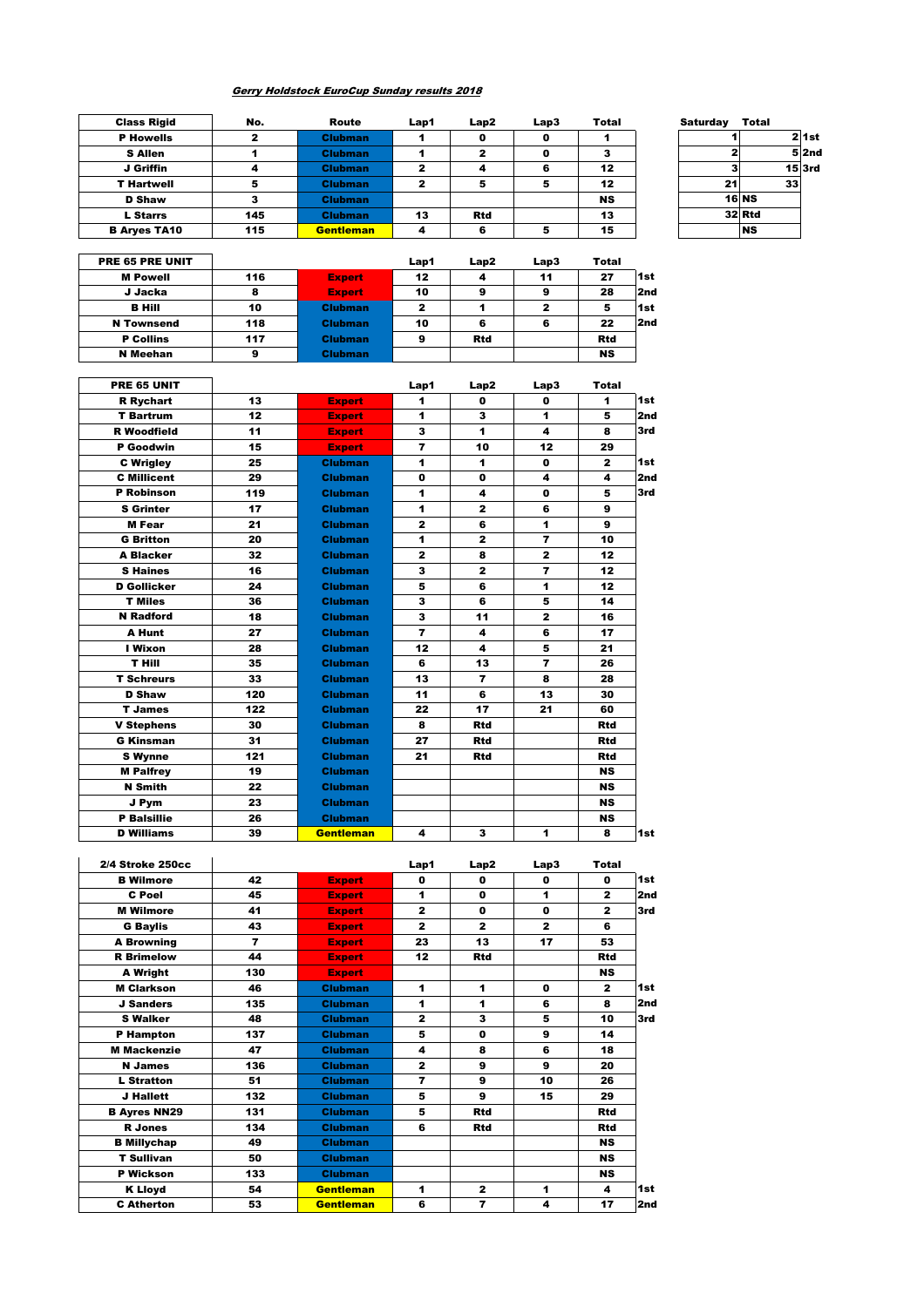## Gerry Holdstock EuroCup Sunday results 2018

| No. | Route            | Lap1 | Lap2       | Lap3 | <b>Total</b> | <b>Saturday</b> | <b>Total</b>    |                              |
|-----|------------------|------|------------|------|--------------|-----------------|-----------------|------------------------------|
|     | <b>Clubman</b>   |      | o          |      |              |                 |                 | $2$ 1st                      |
|     | <b>Clubman</b>   |      | 2          |      |              |                 |                 | 52nd                         |
|     | <b>Clubman</b>   | 2    | 4          |      | 12           |                 |                 | $15$ $3rd$                   |
|     | <b>Clubman</b>   |      | 5          |      | 12           |                 | 33 <sup>1</sup> |                              |
|     | <b>Clubman</b>   |      |            |      | <b>NS</b>    |                 |                 |                              |
| 145 | <b>Clubman</b>   | 13   | <b>Rtd</b> |      | 13           |                 |                 |                              |
| 115 | <b>Gentleman</b> | 4    | 6          |      | 15           |                 | <b>NS</b>       |                              |
|     |                  |      |            |      |              |                 |                 | 21<br><b>16 NS</b><br>32 Rtd |

| <b>Saturday</b> | Total               |                    |
|-----------------|---------------------|--------------------|
|                 |                     | $2$ 1st            |
| 2               |                     | $\overline{5}$ 2nd |
| 3               |                     | $15$ $3rd$         |
| 21              | 33                  |                    |
|                 | $16$ <sub>NS</sub>  |                    |
|                 | $32$ <sub>Rtd</sub> |                    |
|                 | <b>NS</b>           |                    |
|                 |                     |                    |

| PRE 65 PRE UNIT   |     |                | Lap1 | Lap2       | Lap3         | <b>Total</b> |                 |
|-------------------|-----|----------------|------|------------|--------------|--------------|-----------------|
| <b>M</b> Powell   | 116 | <b>Expert</b>  | 12   | 4          | 11           | 27           | 1st             |
| J Jacka           | 8   | <b>Expert</b>  | 10   | 9          | 9            | 28           | 2 <sub>nd</sub> |
| <b>B</b> Hill     | 10  | <b>Clubman</b> | 2    |            | $\mathbf{2}$ | 5            | l 1st           |
| <b>N</b> Townsend | 118 | <b>Clubman</b> | 10   | 6          | 6            | 22           | 2nd             |
| <b>P</b> Collins  | 117 | <b>Clubman</b> | 9    | <b>Rtd</b> |              | <b>Rtd</b>   |                 |
| N Meehan          | 9   | <b>Clubman</b> |      |            |              | <b>NS</b>    |                 |

| PRE 65 UNIT        |     |                  | Lap1                    | Lap2                    | Lap3           | Total        |     |
|--------------------|-----|------------------|-------------------------|-------------------------|----------------|--------------|-----|
| <b>R</b> Rychart   | 13  | <b>Expert</b>    | 1                       | $\mathbf{0}$            | $\mathbf{0}$   | 1            | 1st |
| <b>T</b> Bartrum   | 12  | <b>Expert</b>    | 1                       | 3                       | 1              | 5            | 2nd |
| <b>R</b> Woodfield | 11  | <b>Expert</b>    | 3                       | 1                       | 4              | 8            | 3rd |
| P Goodwin          | 15  | <b>Expert</b>    | $\overline{ }$          | 10                      | 12             | 29           |     |
| <b>C</b> Wrigley   | 25  | <b>Clubman</b>   | 1                       | 1                       | $\mathbf{0}$   | $\mathbf{z}$ | 1st |
| <b>C</b> Millicent | 29  | <b>Clubman</b>   | $\mathbf 0$             | $\mathbf 0$             | 4              | 4            | 2nd |
| <b>P</b> Robinson  | 119 | <b>Clubman</b>   | 1                       | 4                       | $\mathbf{0}$   | 5            | 3rd |
| <b>S</b> Grinter   | 17  | <b>Clubman</b>   | 1                       | $\mathbf{z}$            | 6              | 9            |     |
| <b>M</b> Fear      | 21  | <b>Clubman</b>   | $\mathbf{z}$            | 6                       | 1              | 9            |     |
| <b>G</b> Britton   | 20  | <b>Clubman</b>   | 1                       | $\mathbf{z}$            | $\overline{7}$ | 10           |     |
| <b>A Blacker</b>   | 32  | <b>Clubman</b>   | $\mathbf{z}$            | 8                       | $\mathbf{z}$   | 12           |     |
| <b>S</b> Haines    | 16  | <b>Clubman</b>   | 3                       | $\mathbf{z}$            | $\overline{ }$ | 12           |     |
| <b>D</b> Gollicker | 24  | <b>Clubman</b>   | 5                       | 6                       | 1              | 12           |     |
| <b>T</b> Miles     | 36  | <b>Clubman</b>   | 3                       | 6                       | 5              | 14           |     |
| <b>N</b> Radford   | 18  | <b>Clubman</b>   | 3                       | 11                      | $\mathbf{z}$   | 16           |     |
| A Hunt             | 27  | <b>Clubman</b>   | $\overline{\mathbf{r}}$ | 4                       | 6              | 17           |     |
| I Wixon            | 28  | <b>Clubman</b>   | 12                      | 4                       | 5              | 21           |     |
| <b>T Hill</b>      | 35  | <b>Clubman</b>   | 6                       | 13                      | $\overline{ }$ | 26           |     |
| <b>T Schreurs</b>  | 33  | <b>Clubman</b>   | 13                      | $\overline{\mathbf{z}}$ | 8              | 28           |     |
| <b>D</b> Shaw      | 120 | <b>Clubman</b>   | 11                      | 6                       | 13             | 30           |     |
| <b>T</b> James     | 122 | <b>Clubman</b>   | 22                      | 17                      | 21             | 60           |     |
| <b>V Stephens</b>  | 30  | <b>Clubman</b>   | 8                       | <b>Rtd</b>              |                | <b>Rtd</b>   |     |
| <b>G Kinsman</b>   | 31  | <b>Clubman</b>   | 27                      | <b>Rtd</b>              |                | <b>Rtd</b>   |     |
| <b>S</b> Wynne     | 121 | <b>Clubman</b>   | 21                      | <b>Rtd</b>              |                | <b>Rtd</b>   |     |
| <b>M Palfrey</b>   | 19  | <b>Clubman</b>   |                         |                         |                | <b>NS</b>    |     |
| <b>N</b> Smith     | 22  | <b>Clubman</b>   |                         |                         |                | <b>NS</b>    |     |
| J Pym              | 23  | <b>Clubman</b>   |                         |                         |                | <b>NS</b>    |     |
| <b>P</b> Balsillie | 26  | <b>Clubman</b>   |                         |                         |                | <b>NS</b>    |     |
| <b>D</b> Williams  | 39  | <b>Gentleman</b> | 4                       | 3                       | 1              | 8            | 1st |

| 2/4 Stroke 250cc    |                          |                  | Lap1                     | Lap2                    | Lap3         | <b>Total</b> |     |
|---------------------|--------------------------|------------------|--------------------------|-------------------------|--------------|--------------|-----|
| <b>B</b> Wilmore    | 42                       | <b>Expert</b>    | $\mathbf 0$              | $\mathbf{0}$            | 0            | O            | 1st |
| C Poel              | 45                       | <b>Expert</b>    | 1                        | $\mathbf{0}$            | 1            | $\mathbf{z}$ | 2nd |
| <b>M</b> Wilmore    | 41                       | <b>Expert</b>    | $\mathbf{z}$             | $\mathbf{0}$            | $\mathbf{0}$ | $\mathbf{z}$ | 3rd |
| <b>G Baylis</b>     | 43                       | <b>Expert</b>    | $\overline{2}$           | $\overline{2}$          | $\mathbf{z}$ | 6            |     |
| <b>A Browning</b>   | $\overline{\phantom{a}}$ | <b>Expert</b>    | 23                       | 13                      | 17           | 53           |     |
| <b>R</b> Brimelow   | 44                       | <b>Expert</b>    | 12                       | <b>Rtd</b>              |              | <b>Rtd</b>   |     |
| A Wright            | 130                      | <b>Expert</b>    |                          |                         |              | <b>NS</b>    |     |
| <b>M</b> Clarkson   | 46                       | <b>Clubman</b>   | 1                        | 1                       | $\mathbf{0}$ | $\mathbf{z}$ | 1st |
| <b>J</b> Sanders    | 135                      | <b>Clubman</b>   | 1                        | 1                       | 6            | 8            | 2nd |
| <b>S</b> Walker     | 48                       | <b>Clubman</b>   | $\overline{2}$           | 3                       | 5            | 10           | 3rd |
| <b>P</b> Hampton    | 137                      | <b>Clubman</b>   | 5                        | $\mathbf 0$             | 9            | 14           |     |
| <b>M</b> Mackenzie  | 47                       | <b>Clubman</b>   | 4                        | 8                       | 6            | 18           |     |
| <b>N</b> James      | 136                      | <b>Clubman</b>   | $\mathbf{z}$             | 9                       | 9            | 20           |     |
| <b>L</b> Stratton   | 51                       | <b>Clubman</b>   | $\overline{\phantom{a}}$ | 9                       | 10           | 26           |     |
| J Hallett           | 132                      | <b>Clubman</b>   | 5                        | 9                       | 15           | 29           |     |
| <b>B Ayres NN29</b> | 131                      | <b>Clubman</b>   | 5                        | <b>Rtd</b>              |              | <b>Rtd</b>   |     |
| <b>R</b> Jones      | 134                      | <b>Clubman</b>   | 6                        | <b>Rtd</b>              |              | <b>Rtd</b>   |     |
| <b>B</b> Millychap  | 49                       | <b>Clubman</b>   |                          |                         |              | <b>NS</b>    |     |
| <b>T</b> Sullivan   | 50                       | <b>Clubman</b>   |                          |                         |              | <b>NS</b>    |     |
| P Wickson           | 133                      | <b>Clubman</b>   |                          |                         |              | <b>NS</b>    |     |
| <b>K Lloyd</b>      | 54                       | <b>Gentleman</b> | 1                        | $\mathbf{z}$            | 1            | 4            | 1st |
| <b>C</b> Atherton   | 53                       | <b>Gentleman</b> | 6                        | $\overline{\mathbf{r}}$ | 4            | 17           | 2nd |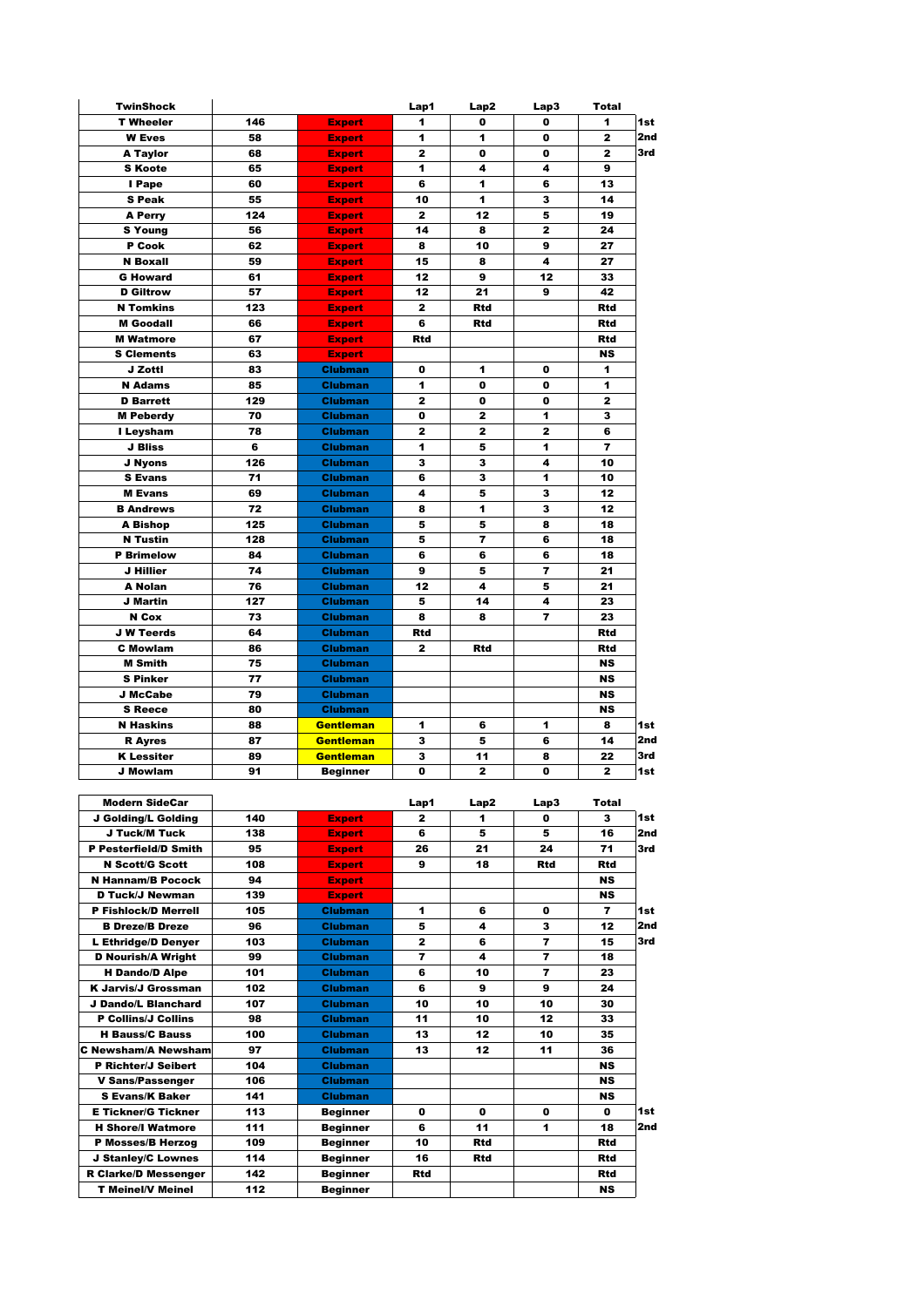| <b>TwinShock</b>                             |     |                                | Lap1         | Lap2         | Lap3           | Total                   |                 |
|----------------------------------------------|-----|--------------------------------|--------------|--------------|----------------|-------------------------|-----------------|
| <b>T</b> Wheeler                             | 146 | <b>Expert</b>                  | 1            | 0            | 0              | 1                       | 1st             |
| <b>W</b> Eves                                | 58  | <b>Expert</b>                  | 1            | 1            | 0              | $\overline{\mathbf{2}}$ | 2 <sub>nd</sub> |
| <b>A Taylor</b>                              | 68  | <b>Expert</b>                  | 2            | 0            | 0              | 2                       | 3rd             |
| <b>S</b> Koote                               | 65  | <b>Expert</b>                  | 1            | 4            | 4              | 9                       |                 |
| I Pape                                       | 60  | <b>Expert</b>                  | 6            | 1            | 6              | 13                      |                 |
| <b>S Peak</b>                                | 55  | <b>Expert</b>                  | 10           | 1            | з              | 14                      |                 |
| A Perry                                      | 124 | <b>Expert</b>                  | 2            | 12           | 5              | 19                      |                 |
| <b>S</b> Young                               | 56  | <b>Expert</b>                  | 14           | 8            | $\overline{2}$ | 24                      |                 |
| P Cook                                       | 62  | <b>Expert</b>                  | 8            | 10           | 9              | 27                      |                 |
| <b>N</b> Boxall                              | 59  |                                | 15           | 8            | 4              | 27                      |                 |
| <b>G</b> Howard                              | 61  | <b>Expert</b><br><b>Expert</b> | 12           | 9            | 12             | 33                      |                 |
|                                              |     |                                |              | 21           |                | 42                      |                 |
| <b>D</b> Giltrow                             | 57  | <b>Expert</b>                  | 12           |              | 9              |                         |                 |
| <b>N</b> Tomkins                             | 123 | <b>Expert</b>                  | $\mathbf{z}$ | Rtd          |                | Rtd                     |                 |
| <b>M</b> Goodall                             | 66  | <b>Expert</b>                  | 6            | <b>Rtd</b>   |                | Rtd                     |                 |
| <b>M</b> Watmore                             | 67  | <b>Expert</b>                  | Rtd          |              |                | Rtd                     |                 |
| <b>S</b> Clements                            | 63  | <b>Expert</b>                  |              |              |                | <b>NS</b>               |                 |
| J Zotti                                      | 83  | Clubman                        | 0            | 1            | 0              | 1                       |                 |
| <b>N</b> Adams                               | 85  | <b>Clubman</b>                 | 1            | 0            | 0              | 1                       |                 |
| <b>D</b> Barrett                             | 129 | <b>Clubman</b>                 | 2            | 0            | 0              | $\mathbf{z}$            |                 |
| <b>M</b> Peberdy                             | 70  | <b>Clubman</b>                 | 0            | $\mathbf{z}$ | 1              | 3                       |                 |
| I Leysham                                    | 78  | <b>Clubman</b>                 | 2            | $\mathbf{z}$ | 2              | 6                       |                 |
| J Bliss                                      | 6   | Clubman                        | 1            | 5            | 1              | 7                       |                 |
| J Nyons                                      | 126 | <b>Clubman</b>                 | з            | з            | 4              | 10                      |                 |
| <b>S</b> Evans                               | 71  | <b>Clubman</b>                 | 6            | з            | 1              | 10                      |                 |
| <b>M</b> Evans                               | 69  | <b>Clubman</b>                 | 4            | 5            | з              | 12                      |                 |
| <b>B</b> Andrews                             | 72  | <b>Clubman</b>                 | 8            | 1            | 3              | 12                      |                 |
| <b>A Bishop</b>                              | 125 | Clubman                        | 5            | 5            | 8              | 18                      |                 |
| <b>N</b> Tustin                              | 128 | Clubman                        | 5            | 7            | 6              | 18                      |                 |
| <b>P</b> Brimelow                            | 84  | <b>Clubman</b>                 | 6            | 6            | 6              | 18                      |                 |
| J Hillier                                    | 74  | <b>Clubman</b>                 | 9            | 5            | 7              | 21                      |                 |
| <b>A Nolan</b>                               | 76  | Clubman                        | 12           | 4            | 5              | 21                      |                 |
| <b>J</b> Martin                              | 127 | <b>Clubman</b>                 | 5            | 14           | 4              | 23                      |                 |
| N Cox                                        | 73  | <b>Clubman</b>                 | 8            | 8            | 7              | 23                      |                 |
| <b>J W Teerds</b>                            | 64  | <b>Clubman</b>                 | Rtd          |              |                | Rtd                     |                 |
| <b>C</b> Mowlam                              | 86  | <b>Clubman</b>                 | 2            | <b>Rtd</b>   |                | Rtd                     |                 |
| <b>M</b> Smith                               | 75  | <b>Clubman</b>                 |              |              |                | <b>NS</b>               |                 |
| <b>S Pinker</b>                              | 77  | <b>Clubman</b>                 |              |              |                | <b>NS</b>               |                 |
| J McCabe                                     | 79  | <b>Clubman</b>                 |              |              |                | <b>NS</b>               |                 |
| <b>S</b> Reece                               | 80  | Clubman                        |              |              |                | <b>NS</b>               |                 |
| <b>N Haskins</b>                             | 88  | <b>Gentleman</b>               | 1            | 6            | 1              | 8                       | 1st             |
| <b>R</b> Ayres                               | 87  | <b>Gentleman</b>               | з            | 5            | 6              | 14                      | 2nd             |
| <b>K</b> Lessiter                            | 89  | <b>Gentleman</b>               | з            | 11           | 8              | 22                      | 3rd             |
| <b>J Mowlam</b>                              | 91  | <b>Beginner</b>                | 0            | 2            | 0              | 2                       | 1st             |
|                                              |     |                                |              |              |                |                         |                 |
|                                              |     |                                |              |              |                |                         |                 |
| <b>Modern SideCar</b><br>J Golding/L Golding | 140 | <b>Expert</b>                  | Lap1<br>2    | Lap2<br>1    | Lap3<br>0      | Total<br>3              | 1st             |
|                                              |     |                                |              |              |                |                         |                 |
| J Tuck/M Tuck                                | 138 | <b>Expert</b>                  | 6            | 5            | 5              | 16                      | 2nd             |
| P Pesterfield/D Smith                        | 95  | <b>Expert</b>                  | 26           | 21           | 24             | 71                      | 3rd             |
| <b>N</b> Scott/G Scott                       | 108 | <b>Expert</b>                  | 9            | 18           | Rtd            | Rtd                     |                 |
| <b>N Hannam/B Pocock</b>                     | 94  | <b>Expert</b>                  |              |              |                | <b>NS</b>               |                 |
| <b>D Tuck/J Newman</b>                       | 139 | <b>Expert</b>                  |              |              |                | NS                      |                 |
| P Fishlock/D Merrell                         | 105 | <b>Clubman</b>                 | 1            | 6            | 0              | 7                       | 1st             |
| <b>B Dreze/B Dreze</b>                       | 96  | <b>Clubman</b>                 | 5            | 4            | 3              | 12                      | 2nd             |
| L Ethridge/D Denyer                          | 103 | <b>Clubman</b>                 | 2            | 6            | 7              | 15                      | 3rd             |
| <b>D Nourish/A Wright</b>                    | 99  | <b>Clubman</b>                 | 7            | 4            | $\overline{7}$ | 18                      |                 |
| <b>H</b> Dando/D Alpe                        | 101 | Clubman                        | 6            | 10           | 7              | 23                      |                 |
| K Jarvis/J Grossman                          | 102 | <b>Clubman</b>                 | 6            | 9            | 9              | 24                      |                 |
| J Dando/L Blanchard                          | 107 | <b>Clubman</b>                 | 10           | 10           | 10             | 30                      |                 |
| <b>P Collins/J Collins</b>                   | 98  | <b>Clubman</b>                 | 11           | 10           | 12             | 33                      |                 |

100 Clubman 13 12 10 35<br>19 Newsham/A Newsham 13 12 11 36 C Newsham/A Newsham 97 Clubman 13 12 11 36

P Richter/J Seibert 104 Clubman NS<br>
V Sans/Passenger 106 Clubman NS<br>
S Evans/K Baker 141 Clubman NS V Sans/Passenger | 106 Clubman | NS S Evans/K Baker 141 Clubman NS<br>E Tickner/G Tickner 113 Beginner 0 0 0 0 0 E Tickner/G Tickner | 113 | Beginner | 0 | 0 | 0 | 0 | 1st H Shore/I Watmore 111 Beginner 6 11 1 18 2nd P Mosses/B Herzog | 109 Beginner | 10 Rtd | Rtd J Stanley/C Lownes 114 Beginner 16 Rtd Rtd R Clarke/D Messenger 142 Beginner Rtd Rtd T Meinel/V Meinel | 112 Beginner | NS